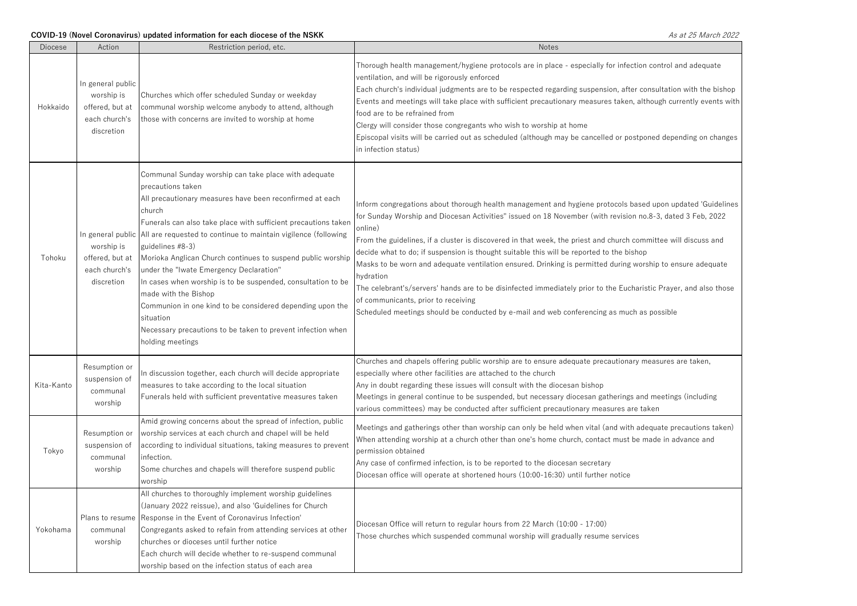| <b>Diocese</b> | Action                                                                            | Restriction period, etc.                                                                                                                                                                                                                                                                                                                                                                                                                                                                                                                                                                                                                                                                 | <b>Notes</b>                                                                                                                                                                                                                                                                                                                                                                                                                                                                                                                                                                                                                                                                                                                                                                                                                         |
|----------------|-----------------------------------------------------------------------------------|------------------------------------------------------------------------------------------------------------------------------------------------------------------------------------------------------------------------------------------------------------------------------------------------------------------------------------------------------------------------------------------------------------------------------------------------------------------------------------------------------------------------------------------------------------------------------------------------------------------------------------------------------------------------------------------|--------------------------------------------------------------------------------------------------------------------------------------------------------------------------------------------------------------------------------------------------------------------------------------------------------------------------------------------------------------------------------------------------------------------------------------------------------------------------------------------------------------------------------------------------------------------------------------------------------------------------------------------------------------------------------------------------------------------------------------------------------------------------------------------------------------------------------------|
| Hokkaido       | In general public<br>worship is<br>offered, but at<br>each church's<br>discretion | Churches which offer scheduled Sunday or weekday<br>communal worship welcome anybody to attend, although<br>those with concerns are invited to worship at home                                                                                                                                                                                                                                                                                                                                                                                                                                                                                                                           | Thorough health management/hygiene protocols are in place - especially for infection control and adequate<br>ventilation, and will be rigorously enforced<br>Each church's individual judgments are to be respected regarding suspension, after consultation with the bishop<br>Events and meetings will take place with sufficient precautionary measures taken, although currently events with<br>food are to be refrained from<br>Clergy will consider those congregants who wish to worship at home<br>Episcopal visits will be carried out as scheduled (although may be cancelled or postponed depending on changes<br>in infection status)                                                                                                                                                                                    |
| Tohoku         | worship is<br>offered, but at<br>each church's<br>discretion                      | Communal Sunday worship can take place with adequate<br>precautions taken<br>All precautionary measures have been reconfirmed at each<br>church<br>Funerals can also take place with sufficient precautions taken<br>In general public All are requested to continue to maintain vigilence (following<br>guidelines #8-3)<br>Morioka Anglican Church continues to suspend public worship<br>under the "Iwate Emergency Declaration"<br>In cases when worship is to be suspended, consultation to be<br>made with the Bishop<br>Communion in one kind to be considered depending upon the<br>situation<br>Necessary precautions to be taken to prevent infection when<br>holding meetings | Inform congregations about thorough health management and hygiene protocols based upon updated 'Guidelines<br>for Sunday Worship and Diocesan Activities" issued on 18 November (with revision no.8-3, dated 3 Feb, 2022<br>online)<br>From the guidelines, if a cluster is discovered in that week, the priest and church committee will discuss and<br>decide what to do; if suspension is thought suitable this will be reported to the bishop<br>Masks to be worn and adequate ventilation ensured. Drinking is permitted during worship to ensure adequate<br>าydration<br>The celebrant's/servers' hands are to be disinfected immediately prior to the Eucharistic Prayer, and also those<br>of communicants, prior to receiving<br>Scheduled meetings should be conducted by e-mail and web conferencing as much as possible |
| Kita-Kanto     | Resumption or<br>suspension of<br>communal<br>worship                             | In discussion together, each church will decide appropriate<br>measures to take according to the local situation<br>Funerals held with sufficient preventative measures taken                                                                                                                                                                                                                                                                                                                                                                                                                                                                                                            | Churches and chapels offering public worship are to ensure adequate precautionary measures are taken,<br>especially where other facilities are attached to the church<br>Any in doubt regarding these issues will consult with the diocesan bishop<br>Meetings in general continue to be suspended, but necessary diocesan gatherings and meetings (including<br>various committees) may be conducted after sufficient precautionary measures are taken                                                                                                                                                                                                                                                                                                                                                                              |
| Tokyo          | Resumption or<br>suspension of<br>communal<br>worship                             | Amid growing concerns about the spread of infection, public<br>worship services at each church and chapel will be held<br>according to individual situations, taking measures to prevent<br>infection.<br>Some churches and chapels will therefore suspend public<br>worship                                                                                                                                                                                                                                                                                                                                                                                                             | Meetings and gatherings other than worship can only be held when vital (and with adequate precautions taken)<br>When attending worship at a church other than one's home church, contact must be made in advance and<br>permission obtained<br>Any case of confirmed infection, is to be reported to the diocesan secretary<br>Diocesan office will operate at shortened hours (10:00-16:30) until further notice                                                                                                                                                                                                                                                                                                                                                                                                                    |
| Yokohama       | Plans to resume<br>communal<br>worship                                            | All churches to thoroughly implement worship guidelines<br>(January 2022 reissue), and also 'Guidelines for Church<br>Response in the Event of Coronavirus Infection'<br>Congregants asked to refain from attending services at other<br>churches or dioceses until further notice<br>Each church will decide whether to re-suspend communal<br>worship based on the infection status of each area                                                                                                                                                                                                                                                                                       | Diocesan Office will return to regular hours from 22 March (10:00 - 17:00)<br>Those churches which suspended communal worship will gradually resume services                                                                                                                                                                                                                                                                                                                                                                                                                                                                                                                                                                                                                                                                         |